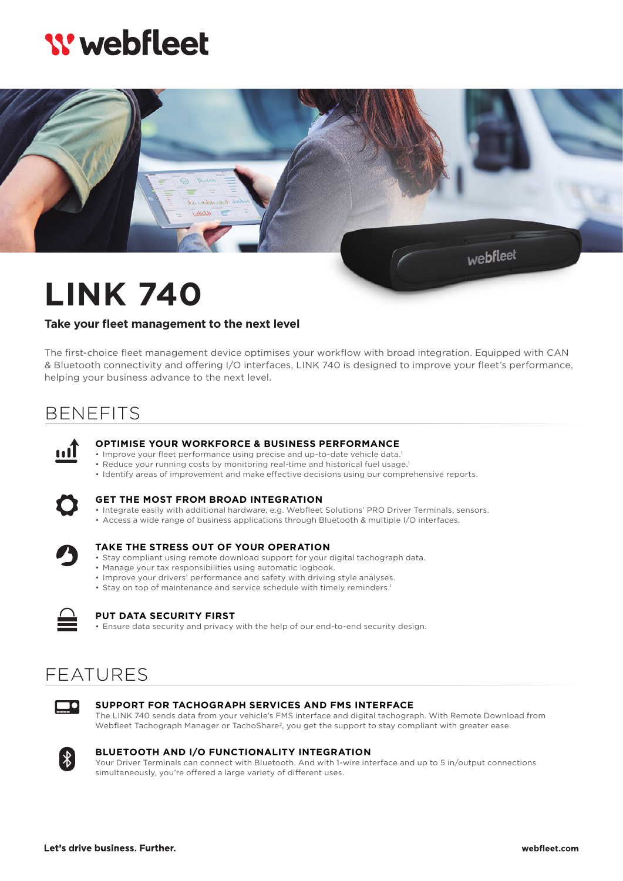# **W** webfleet



# **LINK 740**

### **Take your fleet management to the next level**

The first-choice fleet management device optimises your workflow with broad integration. Equipped with CAN & Bluetooth connectivity and offering I/O interfaces, LINK 740 is designed to improve your fleet's performance, helping your business advance to the next level.

## BENEFITS



#### **OPTIMISE YOUR WORKFORCE & BUSINESS PERFORMANCE**

- Improve your fleet performance using precise and up-to-date vehicle data.<sup>1</sup>
- Reduce your running costs by monitoring real-time and historical fuel usage.1
- Identify areas of improvement and make effective decisions using our comprehensive reports.



#### **GET THE MOST FROM BROAD INTEGRATION**

- Integrate easily with additional hardware, e.g. Webfleet Solutions' PRO Driver Terminals, sensors.
- Access a wide range of business applications through Bluetooth & multiple I/O interfaces.



#### **TAKE THE STRESS OUT OF YOUR OPERATION**

- Stay compliant using remote download support for your digital tachograph data.
- Manage your tax responsibilities using automatic logbook.
- Improve your drivers' performance and safety with driving style analyses.
- Stay on top of maintenance and service schedule with timely reminders.<sup>1</sup>



#### **PUT DATA SECURITY FIRST**

• Ensure data security and privacy with the help of our end-to-end security design.

### FEATURES



#### **SUPPORT FOR TACHOGRAPH SERVICES AND FMS INTERFACE**

The LINK 740 sends data from your vehicle's FMS interface and digital tachograph. With Remote Download from Webfleet Tachograph Manager or TachoShare<sup>2</sup>, you get the support to stay compliant with greater ease.



**BLUETOOTH AND I/O FUNCTIONALITY INTEGRATION** Your Driver Terminals can connect with Bluetooth. And with 1-wire interface and up to 5 in/output connections simultaneously, you're offered a large variety of different uses.